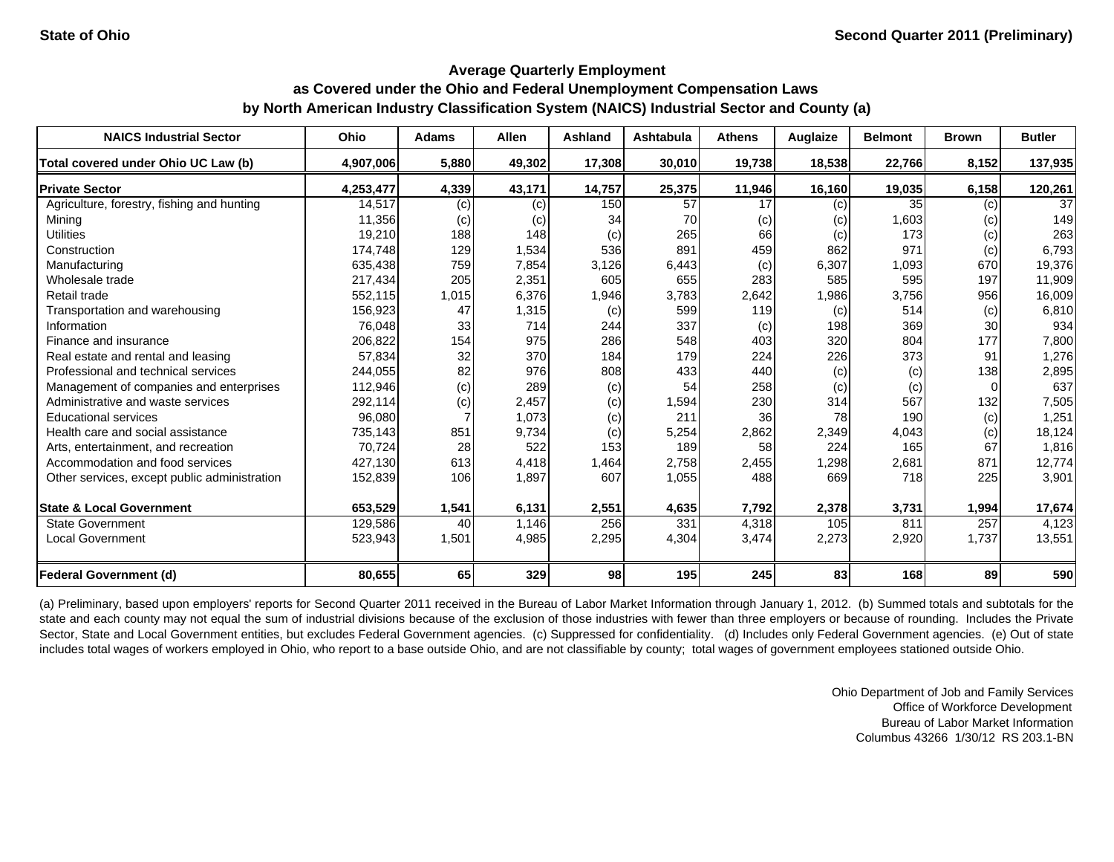| <b>NAICS Industrial Sector</b>               | Ohio      | <b>Adams</b> | Allen  | <b>Ashland</b> | <b>Ashtabula</b> | <b>Athens</b> | Auglaize | <b>Belmont</b> | <b>Brown</b>      | <b>Butler</b> |
|----------------------------------------------|-----------|--------------|--------|----------------|------------------|---------------|----------|----------------|-------------------|---------------|
| Total covered under Ohio UC Law (b)          | 4,907,006 | 5,880        | 49,302 | 17,308         | 30,010           | 19,738        | 18,538   | 22,766         | 8,152             | 137,935       |
| <b>Private Sector</b>                        | 4,253,477 | 4,339        | 43,171 | 14,757         | 25,375           | 11,946        | 16,160   | 19,035         | 6,158             | 120,261       |
| Agriculture, forestry, fishing and hunting   | 14,517    | (c)          | (c)    | 150            | 57               | 17            | (c)      | 35             | (c)               | 37            |
| Mining                                       | 11,356    | (c)          | (c)    | 34             | 70               | (c)           | (c)      | 1,603          | $\left( c\right)$ | 149           |
| <b>Utilities</b>                             | 19,210    | 188          | 148    | (c)            | 265              | 66            | (c)      | 173            | (c)               | 263           |
| Construction                                 | 174,748   | 129          | 1,534  | 536            | 891              | 459           | 862      | 971            | $\left( c\right)$ | 6,793         |
| Manufacturing                                | 635,438   | 759          | 7,854  | 3,126          | 6,443            | (c)           | 6,307    | 1,093          | 670               | 19,376        |
| Wholesale trade                              | 217,434   | 205          | 2,351  | 605            | 655              | 283           | 585      | 595            | 197               | 11,909        |
| Retail trade                                 | 552,115   | 1,015        | 6,376  | 1,946          | 3,783            | 2,642         | 1,986    | 3,756          | 956               | 16,009        |
| Transportation and warehousing               | 156,923   | 47           | 1,315  | (c)            | 599              | 119           | (c)      | 514            | (c)               | 6,810         |
| Information                                  | 76,048    | 33           | 714    | 244            | 337              | (c)           | 198      | 369            | 30                | 934           |
| Finance and insurance                        | 206,822   | 154          | 975    | 286            | 548              | 403           | 320      | 804            | 177               | 7,800         |
| Real estate and rental and leasing           | 57,834    | 32           | 370    | 184            | 179              | 224           | 226      | 373            | 91                | 1,276         |
| Professional and technical services          | 244,055   | 82           | 976    | 808            | 433              | 440           | (c)      | (c)            | 138               | 2,895         |
| Management of companies and enterprises      | 112,946   | (c)          | 289    | (c)            | 54               | 258           | (c)      | (c)            | 0                 | 637           |
| Administrative and waste services            | 292,114   | (c)          | 2,457  | (c)            | 1,594            | 230           | 314      | 567            | 132               | 7,505         |
| <b>Educational services</b>                  | 96,080    |              | 1,073  | (c)            | 211              | 36            | 78       | 190            | (c)               | 1,251         |
| Health care and social assistance            | 735,143   | 851          | 9,734  | (c)            | 5,254            | 2,862         | 2,349    | 4,043          | (c)               | 18,124        |
| Arts, entertainment, and recreation          | 70,724    | 28           | 522    | 153            | 189              | 58            | 224      | 165            | 67                | 1,816         |
| Accommodation and food services              | 427,130   | 613          | 4,418  | 1,464          | 2,758            | 2,455         | 1,298    | 2,681          | 871               | 12,774        |
| Other services, except public administration | 152,839   | 106          | 1,897  | 607            | 1,055            | 488           | 669      | 718            | 225               | 3,901         |
| <b>State &amp; Local Government</b>          | 653,529   | 1,541        | 6,131  | 2,551          | 4,635            | 7,792         | 2,378    | 3,731          | 1,994             | 17,674        |
| <b>State Government</b>                      | 129,586   | 40           | 1,146  | 256            | 331              | 4,318         | 105      | 811            | 257               | 4,123         |
| <b>Local Government</b>                      | 523,943   | 1,501        | 4,985  | 2,295          | 4,304            | 3,474         | 2,273    | 2,920          | 1,737             | 13,551        |
| <b>Federal Government (d)</b>                | 80,655    | 65           | 329    | 98             | 195              | 245           | 83       | 168            | 89                | 590           |

(a) Preliminary, based upon employers' reports for Second Quarter 2011 received in the Bureau of Labor Market Information through January 1, 2012. (b) Summed totals and subtotals for the state and each county may not equal the sum of industrial divisions because of the exclusion of those industries with fewer than three employers or because of rounding. Includes the Private Sector, State and Local Government entities, but excludes Federal Government agencies. (c) Suppressed for confidentiality. (d) Includes only Federal Government agencies. (e) Out of state includes total wages of workers employed in Ohio, who report to a base outside Ohio, and are not classifiable by county; total wages of government employees stationed outside Ohio.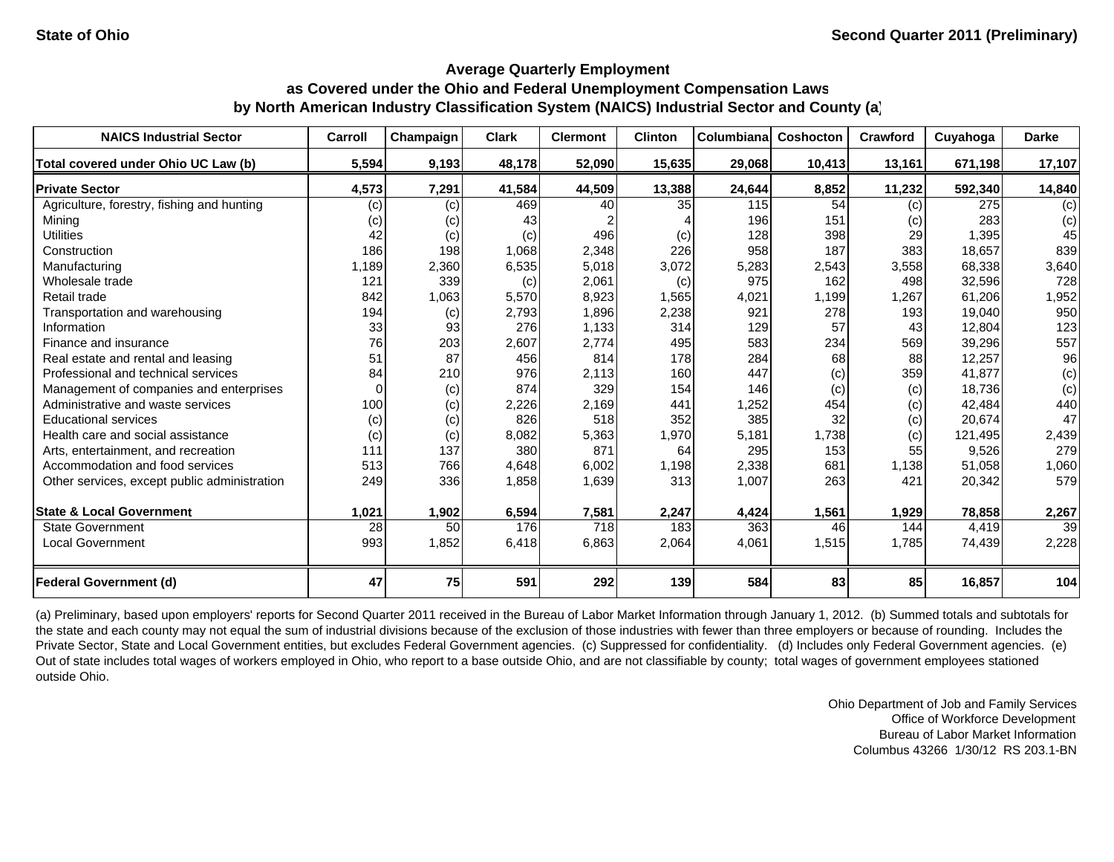| <b>NAICS Industrial Sector</b>               | Carroll | Champaign | <b>Clark</b> | <b>Clermont</b> | <b>Clinton</b> | Columbianal | <b>Coshocton</b> | Crawford | Cuyahoga | <b>Darke</b> |
|----------------------------------------------|---------|-----------|--------------|-----------------|----------------|-------------|------------------|----------|----------|--------------|
| Total covered under Ohio UC Law (b)          | 5,594   | 9,193     | 48,178       | 52,090          | 15,635         | 29,068      | 10,413           | 13,161   | 671,198  | 17,107       |
| <b>Private Sector</b>                        | 4,573   | 7,291     | 41,584       | 44,509          | 13,388         | 24,644      | 8,852            | 11,232   | 592,340  | 14,840       |
| Agriculture, forestry, fishing and hunting   | (c)     | (c)       | 469          | 40              | 35             | 115         | 54               | (c)      | 275      | (c)          |
| Mining                                       | (c)     | (c)       | 43           |                 |                | 196         | 151              | (c)      | 283      | (c)          |
| <b>Utilities</b>                             | 42      | (c)       | (c)          | 496             | (c)            | 128         | 398              | 29       | 1,395    | 45           |
| Construction                                 | 186     | 198       | 1,068        | 2,348           | 226            | 958         | 187              | 383      | 18.657   | 839          |
| Manufacturing                                | 1,189   | 2,360     | 6,535        | 5,018           | 3,072          | 5,283       | 2,543            | 3,558    | 68.338   | 3,640        |
| Wholesale trade                              | 121     | 339       | (c)          | 2,061           | (c)            | 975         | 162              | 498      | 32,596   | 728          |
| Retail trade                                 | 842     | 1,063     | 5,570        | 8,923           | 1,565          | 4,021       | 1,199            | 1,267    | 61,206   | 1,952        |
| Transportation and warehousing               | 194     | (c)       | 2,793        | 1,896           | 2,238          | 921         | 278              | 193      | 19,040   | 950          |
| Information                                  | 33      | 93        | 276          | 1,133           | 314            | 129         | 57               | 43       | 12,804   | 123          |
| Finance and insurance                        | 76      | 203       | 2,607        | 2,774           | 495            | 583         | 234              | 569      | 39,296   | 557          |
| Real estate and rental and leasing           | 51      | 87        | 456          | 814             | 178            | 284         | 68               | 88       | 12,257   | 96           |
| Professional and technical services          | 84      | 210       | 976          | 2,113           | 160            | 447         | (c)              | 359      | 41,877   | (c)          |
| Management of companies and enterprises      |         | (c)       | 874          | 329             | 154            | 146         | (c)              | (c)      | 18,736   | (c)          |
| Administrative and waste services            | 100     | (c)       | 2,226        | 2,169           | 441            | 1,252       | 454              | (c)      | 42,484   | 440          |
| <b>Educational services</b>                  | (c)     | (c)       | 826          | 518             | 352            | 385         | 32               | (c)      | 20.674   | 47           |
| Health care and social assistance            | (c)     | (c)       | 8,082        | 5,363           | 1,970          | 5,181       | 1,738            | (c)      | 121,495  | 2,439        |
| Arts, entertainment, and recreation          | 111     | 137       | 380          | 871             | 64             | 295         | 153              | 55       | 9,526    | 279          |
| Accommodation and food services              | 513     | 766       | 4,648        | 6,002           | 1,198          | 2,338       | 681              | 1,138    | 51,058   | 1,060        |
| Other services, except public administration | 249     | 336       | 1,858        | 1,639           | 313            | 1,007       | 263              | 421      | 20,342   | 579          |
| <b>State &amp; Local Government</b>          | 1,021   | 1,902     | 6,594        | 7,581           | 2,247          | 4,424       | 1,561            | 1,929    | 78,858   | 2,267        |
| <b>State Government</b>                      | 28      | 50        | 176          | 718             | 183            | 363         | 46               | 144      | 4,419    | 39           |
| <b>Local Government</b>                      | 993     | 1,852     | 6,418        | 6,863           | 2,064          | 4,061       | 1,515            | 1,785    | 74,439   | 2,228        |
| <b>Federal Government (d)</b>                | 47      | 75        | 591          | 292             | 139            | 584         | 83               | 85       | 16,857   | 104          |

(a) Preliminary, based upon employers' reports for Second Quarter 2011 received in the Bureau of Labor Market Information through January 1, 2012. (b) Summed totals and subtotals for the state and each county may not equal the sum of industrial divisions because of the exclusion of those industries with fewer than three employers or because of rounding. Includes the Private Sector, State and Local Government entities, but excludes Federal Government agencies. (c) Suppressed for confidentiality. (d) Includes only Federal Government agencies. (e) Out of state includes total wages of workers employed in Ohio, who report to a base outside Ohio, and are not classifiable by county; total wages of government employees stationed outside Ohio.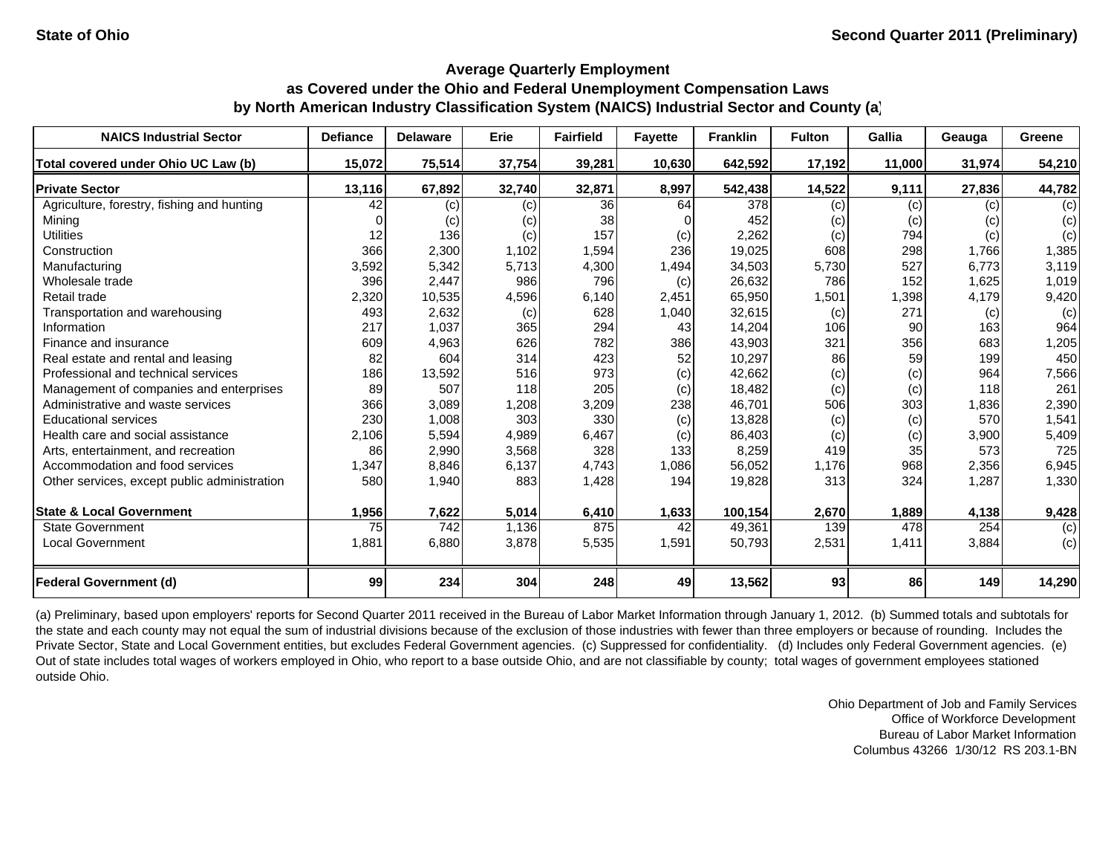| <b>NAICS Industrial Sector</b>               | <b>Defiance</b> | <b>Delaware</b>  | <b>Erie</b> | <b>Fairfield</b> | <b>Fayette</b> | <b>Franklin</b> | <b>Fulton</b> | Gallia | Geauga | Greene |
|----------------------------------------------|-----------------|------------------|-------------|------------------|----------------|-----------------|---------------|--------|--------|--------|
| Total covered under Ohio UC Law (b)          | 15,072          | 75,514           | 37,754      | 39,281           | 10,630         | 642,592         | 17,192        | 11,000 | 31,974 | 54,210 |
| <b>Private Sector</b>                        | 13,116          | 67,892           | 32,740      | 32,871           | 8,997          | 542,438         | 14,522        | 9,111  | 27,836 | 44,782 |
| Agriculture, forestry, fishing and hunting   | 42              | (c)              | (c)         | 36               | 64             | 378             | (c)           | (c)    | (c)    | (c)    |
| Mining                                       |                 | (c)              | (c)         | 38               |                | 452             | (c)           | (c)    | (c)    | (c)    |
| <b>Utilities</b>                             | 12              | 136              | (c)         | 157              | (c)            | 2,262           | (c)           | 794    | (c)    | (c)    |
| Construction                                 | 366             | 2,300            | 1,102       | 1,594            | 236            | 19,025          | 608           | 298    | 1,766  | 1,385  |
| Manufacturing                                | 3,592           | 5,342            | 5,713       | 4,300            | 1,494          | 34,503          | 5,730         | 527    | 6,773  | 3,119  |
| Wholesale trade                              | 396             | 2,447            | 986         | 796              | (c)            | 26,632          | 786           | 152    | 1,625  | 1,019  |
| Retail trade                                 | 2,320           | 10,535           | 4,596       | 6,140            | 2,451          | 65,950          | 1,501         | 1,398  | 4,179  | 9,420  |
| Transportation and warehousing               | 493             | 2,632            | (c)         | 628              | 1,040          | 32,615          | (c)           | 271    | (c)    | (c)    |
| Information                                  | 217             | 1,037            | 365         | 294              | 43             | 14,204          | 106           | 90     | 163    | 964    |
| Finance and insurance                        | 609             | 4,963            | 626         | 782              | 386            | 43,903          | 321           | 356    | 683    | 1,205  |
| Real estate and rental and leasing           | 82              | 604              | 314         | 423              | 52             | 10,297          | 86            | 59     | 199    | 450    |
| Professional and technical services          | 186             | 13,592           | 516         | 973              | (c)            | 42,662          | (c)           | (c)    | 964    | 7,566  |
| Management of companies and enterprises      | 89              | 507              | 118         | 205              | (c)            | 18,482          | (c)           | (c)    | 118    | 261    |
| Administrative and waste services            | 366             | 3,089            | 1,208       | 3,209            | 238            | 46,701          | 506           | 303    | 1,836  | 2,390  |
| <b>Educational services</b>                  | 230             | 1,008            | 303         | 330              | (c)            | 13,828          | (c)           | (c)    | 570    | 1,541  |
| Health care and social assistance            | 2,106           | 5,594            | 4,989       | 6,467            | (c)            | 86,403          | (c)           | (c)    | 3,900  | 5,409  |
| Arts, entertainment, and recreation          | 86              | 2,990            | 3,568       | 328              | 133            | 8,259           | 419           | 35     | 573    | 725    |
| Accommodation and food services              | 1,347           | 8,846            | 6,137       | 4,743            | 1,086          | 56,052          | 1,176         | 968    | 2,356  | 6,945  |
| Other services, except public administration | 580             | 1,940            | 883         | 1,428            | 194            | 19,828          | 313           | 324    | 1,287  | 1,330  |
| <b>State &amp; Local Government</b>          | 1,956           | 7,622            | 5,014       | 6,410            | 1,633          | 100,154         | 2,670         | 1,889  | 4,138  | 9,428  |
| <b>State Government</b>                      | 75              | $\overline{742}$ | 1,136       | 875              | 42             | 49,361          | 139           | 478    | 254    | (c)    |
| <b>Local Government</b>                      | 1,881           | 6,880            | 3,878       | 5,535            | 1,591          | 50,793          | 2,531         | 1,411  | 3,884  | (c)    |
| <b>Federal Government (d)</b>                | 99              | 234              | 304         | 248              | 49             | 13,562          | 93            | 86     | 149    | 14,290 |

(a) Preliminary, based upon employers' reports for Second Quarter 2011 received in the Bureau of Labor Market Information through January 1, 2012. (b) Summed totals and subtotals for the state and each county may not equal the sum of industrial divisions because of the exclusion of those industries with fewer than three employers or because of rounding. Includes the Private Sector, State and Local Government entities, but excludes Federal Government agencies. (c) Suppressed for confidentiality. (d) Includes only Federal Government agencies. (e) Out of state includes total wages of workers employed in Ohio, who report to a base outside Ohio, and are not classifiable by county; total wages of government employees stationed outside Ohio.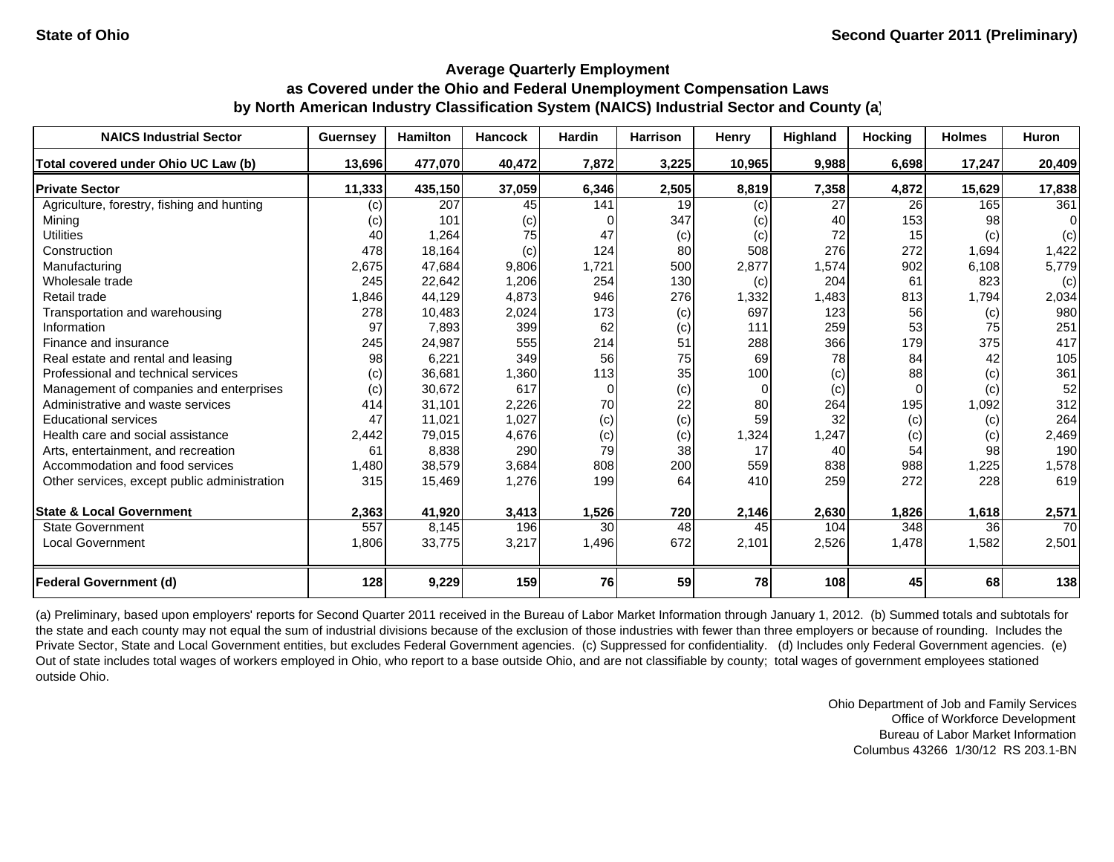| <b>NAICS Industrial Sector</b>               | <b>Guernsey</b> | <b>Hamilton</b> | <b>Hancock</b> | <b>Hardin</b> | <b>Harrison</b> | Henry     | <b>Highland</b> | <b>Hocking</b> | <b>Holmes</b> | Huron        |
|----------------------------------------------|-----------------|-----------------|----------------|---------------|-----------------|-----------|-----------------|----------------|---------------|--------------|
| Total covered under Ohio UC Law (b)          | 13,696          | 477,070         | 40,472         | 7,872         | 3,225           | 10,965    | 9,988           | 6.698          | 17,247        | 20,409       |
| <b>Private Sector</b>                        | 11,333          | 435,150         | 37,059         | 6,346         | 2,505           | 8,819     | 7,358           | 4,872          | 15,629        | 17,838       |
| Agriculture, forestry, fishing and hunting   | (c)             | 207             | 45             | 141           | 19              | (c)       | 27              | 26             | 165           | 361          |
| Minina                                       | (c)             | 101             | (c)            |               | 347             | (c)       | 40              | 153            | 98            | <sup>0</sup> |
| <b>Utilities</b>                             | 40              | 1,264           | 75             | 47            | (c)             | (c)       | 72              | 15             | (c)           | (c)          |
| Construction                                 | 478             | 18,164          | (c)            | 124           | 80              | 508       | 276             | 272            | 1,694         | 1,422        |
| Manufacturing                                | 2,675           | 47,684          | 9,806          | 1.721         | 500             | 2,877     | 1,574           | 902            | 6,108         | 5,779        |
| Wholesale trade                              | 245             | 22,642          | 1,206          | 254           | 130             | (c)       | 204             | 61             | 823           | (c)          |
| Retail trade                                 | 1,846           | 44.129          | 4,873          | 946           | 276             | 1,332     | 1,483           | 813            | 1,794         | 2,034        |
| Transportation and warehousing               | 278             | 10,483          | 2,024          | 173           | (c)             | 697       | 123             | 56             | (c)           | 980          |
| Information                                  | 97              | 7,893           | 399            | 62            | (c)             | 111       | 259             | 53             | 75            | 251          |
| Finance and insurance                        | 245             | 24,987          | 555            | 214           | 51              | 288       | 366             | 179            | 375           | 417          |
| Real estate and rental and leasing           | 98              | 6,221           | 349            | 56            | 75              | 69        | 78              | 84             | 42            | 105          |
| Professional and technical services          | (c)             | 36,681          | 1,360          | 113           | 35              | 100       | (c)             | 88             | (c)           | 361          |
| Management of companies and enterprises      | (c)             | 30,672          | 617            | $\Omega$      | (c)             | $\Omega$  | (c)             |                | (c)           | 52           |
| Administrative and waste services            | 414             | 31,101          | 2,226          | 70            | 22              | 80        | 264             | 195            | 1,092         | 312          |
| <b>Educational services</b>                  | 47              | 11,021          | 1,027          | (c)           | (c)             | 59        | 32              | (c)            | (c)           | 264          |
| Health care and social assistance            | 2,442           | 79,015          | 4,676          | (c)           | (c)             | 1,324     | 1,247           | (c)            | (c)           | 2,469        |
| Arts, entertainment, and recreation          | 61              | 8,838           | 290            | 79            | 38              | 17        | 40              | 54             | 98            | 190          |
| Accommodation and food services              | 1,480           | 38,579          | 3,684          | 808           | 200             | 559       | 838             | 988            | 1,225         | 1,578        |
| Other services, except public administration | 315             | 15,469          | 1,276          | 199           | 64              | 410       | 259             | 272            | 228           | 619          |
| <b>State &amp; Local Government</b>          | 2,363           | 41,920          | 3,413          | 1,526         | 720             | 2,146     | 2,630           | 1,826          | 1,618         | 2,571        |
| <b>State Government</b>                      | 557             | 8.145           | 196            | 30            | 48              | 45        | 104             | 348            | 36            | 70           |
| <b>Local Government</b>                      | 1,806           | 33,775          | 3,217          | 1,496         | 672             | 2,101     | 2,526           | 1,478          | 1,582         | 2,501        |
| <b>Federal Government (d)</b>                | 128             | 9,229           | 159            | <b>76</b>     | 59              | <b>78</b> | 108             | 45             | 68            | 138          |

(a) Preliminary, based upon employers' reports for Second Quarter 2011 received in the Bureau of Labor Market Information through January 1, 2012. (b) Summed totals and subtotals for the state and each county may not equal the sum of industrial divisions because of the exclusion of those industries with fewer than three employers or because of rounding. Includes the Private Sector, State and Local Government entities, but excludes Federal Government agencies. (c) Suppressed for confidentiality. (d) Includes only Federal Government agencies. (e) Out of state includes total wages of workers employed in Ohio, who report to a base outside Ohio, and are not classifiable by county; total wages of government employees stationed outside Ohio.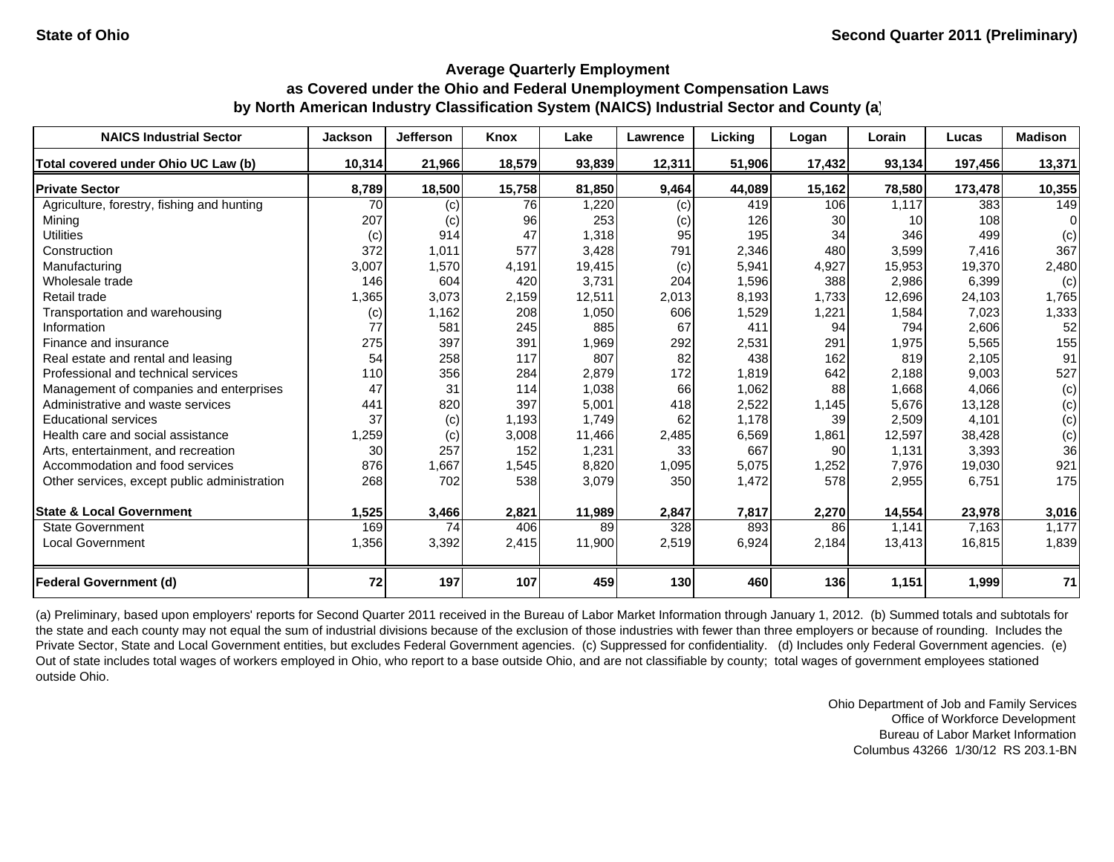| <b>NAICS Industrial Sector</b>               | <b>Jackson</b> | <b>Jefferson</b> | Knox   | Lake   | <b>Lawrence</b> | Lickina | Logan     | Lorain          | Lucas   | <b>Madison</b> |
|----------------------------------------------|----------------|------------------|--------|--------|-----------------|---------|-----------|-----------------|---------|----------------|
| Total covered under Ohio UC Law (b)          | 10,314         | 21,966           | 18,579 | 93,839 | 12,311          | 51,906  | 17,432    | 93,134          | 197,456 | 13,371         |
| <b>Private Sector</b>                        | 8,789          | 18,500           | 15,758 | 81,850 | 9,464           | 44,089  | 15,162    | 78,580          | 173,478 | 10,355         |
| Agriculture, forestry, fishing and hunting   | 70             | (c)              | 76     | 1,220  | (c)             | 419     | 106       | 1,117           | 383     | 149            |
| Minina                                       | 207            | (c)              | 96     | 253    | (c)             | 126     | <b>30</b> | 10 <sup>1</sup> | 108     |                |
| <b>Utilities</b>                             | (c)            | 914              | 47     | 1,318  | 95              | 195     | 34        | 346             | 499     | (c)            |
| Construction                                 | 372            | 1,011            | 577    | 3,428  | 791             | 2,346   | 480       | 3,599           | 7,416   | 367            |
| Manufacturing                                | 3,007          | 1,570            | 4,191  | 19,415 | (c)             | 5,941   | 4,927     | 15,953          | 19,370  | 2,480          |
| Wholesale trade                              | 146            | 604              | 420    | 3,731  | 204             | 1,596   | 388       | 2,986           | 6,399   | (c)            |
| Retail trade                                 | 1,365          | 3,073            | 2,159  | 12,511 | 2,013           | 8,193   | 1,733     | 12,696          | 24,103  | 1,765          |
| Transportation and warehousing               | (c)            | 1,162            | 208    | 1,050  | 606             | 1,529   | 1,221     | 1,584           | 7,023   | 1,333          |
| Information                                  | 77             | 581              | 245    | 885    | 67              | 411     | 94        | 794             | 2,606   | 52             |
| Finance and insurance                        | 275            | 397              | 391    | 1,969  | 292             | 2,531   | 291       | 1,975           | 5,565   | 155            |
| Real estate and rental and leasing           | 54             | 258              | 117    | 807    | 82              | 438     | 162       | 819             | 2,105   | 91             |
| Professional and technical services          | 110            | 356              | 284    | 2,879  | 172             | 1,819   | 642       | 2,188           | 9,003   | 527            |
| Management of companies and enterprises      | 47             | 31               | 114    | 1,038  | 66              | 1,062   | 88        | 1,668           | 4,066   | (c)            |
| Administrative and waste services            | 441            | 820              | 397    | 5,001  | 418             | 2,522   | 1,145     | 5,676           | 13,128  | (c)            |
| <b>Educational services</b>                  | 37             | (c)              | 1,193  | 1,749  | 62              | 1,178   | 39        | 2,509           | 4,101   | (c)            |
| Health care and social assistance            | ,259           | (c)              | 3,008  | 11,466 | 2,485           | 6,569   | 1,861     | 12,597          | 38,428  | (c)            |
| Arts, entertainment, and recreation          | 30             | 257              | 152    | 1,231  | 33              | 667     | 90l       | 1,131           | 3,393   | 36             |
| Accommodation and food services              | 876            | 1,667            | 1,545  | 8,820  | 1,095           | 5,075   | 1,252     | 7,976           | 19,030  | 921            |
| Other services, except public administration | 268            | 702              | 538    | 3,079  | 350             | 1,472   | 578       | 2,955           | 6,751   | 175            |
| <b>State &amp; Local Government</b>          | 1,525          | 3,466            | 2,821  | 11,989 | 2,847           | 7,817   | 2,270     | 14,554          | 23,978  | 3,016          |
| <b>State Government</b>                      | 169            | 74               | 406    | 89     | 328             | 893     | 86        | 1,141           | 7,163   | 1,177          |
| <b>Local Government</b>                      | 1,356          | 3,392            | 2,415  | 11,900 | 2,519           | 6,924   | 2,184     | 13,413          | 16,815  | 1,839          |
| <b>Federal Government (d)</b>                | 72             | 197              | 107    | 459    | 130             | 460     | 136       | 1,151           | 1,999   | 71             |

(a) Preliminary, based upon employers' reports for Second Quarter 2011 received in the Bureau of Labor Market Information through January 1, 2012. (b) Summed totals and subtotals for the state and each county may not equal the sum of industrial divisions because of the exclusion of those industries with fewer than three employers or because of rounding. Includes the Private Sector, State and Local Government entities, but excludes Federal Government agencies. (c) Suppressed for confidentiality. (d) Includes only Federal Government agencies. (e) Out of state includes total wages of workers employed in Ohio, who report to a base outside Ohio, and are not classifiable by county; total wages of government employees stationed outside Ohio.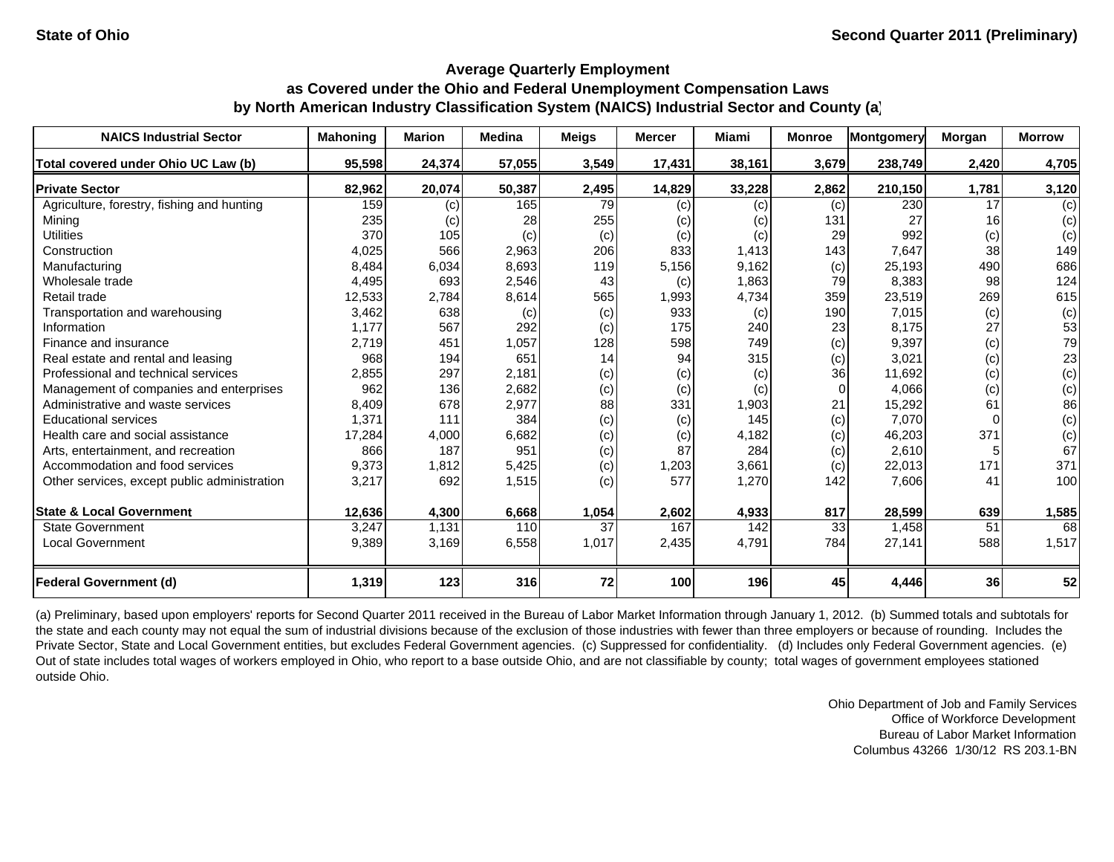| <b>NAICS Industrial Sector</b>               | <b>Mahoning</b> | <b>Marion</b> | <b>Medina</b> | Meigs | <b>Mercer</b>              | Miami  | <b>Monroe</b> | Montgomery | Morgan | <b>Morrow</b> |
|----------------------------------------------|-----------------|---------------|---------------|-------|----------------------------|--------|---------------|------------|--------|---------------|
| Total covered under Ohio UC Law (b)          | 95,598          | 24,374        | 57,055        | 3,549 | 17,431                     | 38,161 | 3,679         | 238,749    | 2,420  | 4,705         |
| <b>Private Sector</b>                        | 82,962          | 20,074        | 50,387        | 2,495 | 14,829                     | 33,228 | 2,862         | 210,150    | 1,781  | 3,120         |
| Agriculture, forestry, fishing and hunting   | 159             | (c)           | 165           | 79    | (c)                        | (c)    | (c)           | 230        | 17     | (c)           |
| Mining                                       | 235             | (c)           | 28            | 255   | (c)                        | (c)    | 131           | 27         | 16     | (c)           |
| <b>Utilities</b>                             | 370             | 105           | (c)           | (c)   | (c)                        | (c)    | 29            | 992        | (c)    | (c)           |
| Construction                                 | 4,025           | 566           | 2,963         | 206   | 833                        | 1.413  | 143           | 7,647      | 38     | 149           |
| Manufacturing                                | 8,484           | 6,034         | 8,693         | 119   | 5,156                      | 9,162  | (c)           | 25,193     | 490    | 686           |
| Wholesale trade                              | 4,495           | 693           | 2,546         | 43    | (c)                        | 1,863  | 79            | 8,383      | 98     | 124           |
| Retail trade                                 | 12,533          | 2,784         | 8,614         | 565   | 1,993                      | 4,734  | 359           | 23,519     | 269    | 615           |
| Transportation and warehousing               | 3,462           | 638           | (c)           | (c)   | 933                        | (c)    | 190           | 7,015      | (c)    | (c)           |
| Information                                  | 1,177           | 567           | 292           | (c)   | 175                        | 240    | 23            | 8,175      | 27     | 53            |
| Finance and insurance                        | 2,719           | 451           | 1,057         | 128   | 598                        | 749    | (c)           | 9,397      | (c)    | 79            |
| Real estate and rental and leasing           | 968             | 194           | 651           | 14    | 94                         | 315    | (c)           | 3,021      | (c)    | 23            |
| Professional and technical services          | 2,855           | 297           | 2,181         | (c)   | (c)                        | (c)    | 36            | 11,692     | (c)    | (c)           |
| Management of companies and enterprises      | 962             | 136           | 2,682         | (c)   | (c)                        | (c)    | $\Omega$      | 4,066      | (c)    | (c)           |
| Administrative and waste services            | 8,409           | 678           | 2,977         | 88    | 331                        | 1,903  | 21            | 15,292     | 61     | 86            |
| <b>Educational services</b>                  | 1,371           | 111           | 384           | (c)   | (c)                        | 145    | (c)           | 7,070      |        | (c)           |
| Health care and social assistance            | 17,284          | 4,000         | 6,682         | (c)   | $\left( \mathrm{c}\right)$ | 4,182  | (c)           | 46,203     | 371    | (c)           |
| Arts, entertainment, and recreation          | 866             | 187           | 951           | (c)   | 87                         | 284    | (c)           | 2,610      |        | 67            |
| Accommodation and food services              | 9,373           | 1,812         | 5,425         | (c)   | 1,203                      | 3,661  | (c)           | 22,013     | 171    | 371           |
| Other services, except public administration | 3,217           | 692           | 1,515         | (c)   | 577                        | 1,270  | 142           | 7,606      | 41     | 100           |
| <b>State &amp; Local Government</b>          | 12,636          | 4,300         | 6,668         | 1,054 | 2,602                      | 4,933  | 817           | 28,599     | 639    | 1,585         |
| <b>State Government</b>                      | 3,247           | 1,131         | 110           | 37    | 167                        | 142    | 33            | 1.458      | 51     | 68            |
| <b>Local Government</b>                      | 9,389           | 3,169         | 6,558         | 1,017 | 2,435                      | 4,791  | 784           | 27,141     | 588    | 1,517         |
| <b>Federal Government (d)</b>                | 1,319           | 123           | 316           | 72    | 100                        | 196    | 45            | 4,446      | 36     | 52            |

(a) Preliminary, based upon employers' reports for Second Quarter 2011 received in the Bureau of Labor Market Information through January 1, 2012. (b) Summed totals and subtotals for the state and each county may not equal the sum of industrial divisions because of the exclusion of those industries with fewer than three employers or because of rounding. Includes the Private Sector, State and Local Government entities, but excludes Federal Government agencies. (c) Suppressed for confidentiality. (d) Includes only Federal Government agencies. (e) Out of state includes total wages of workers employed in Ohio, who report to a base outside Ohio, and are not classifiable by county; total wages of government employees stationed outside Ohio.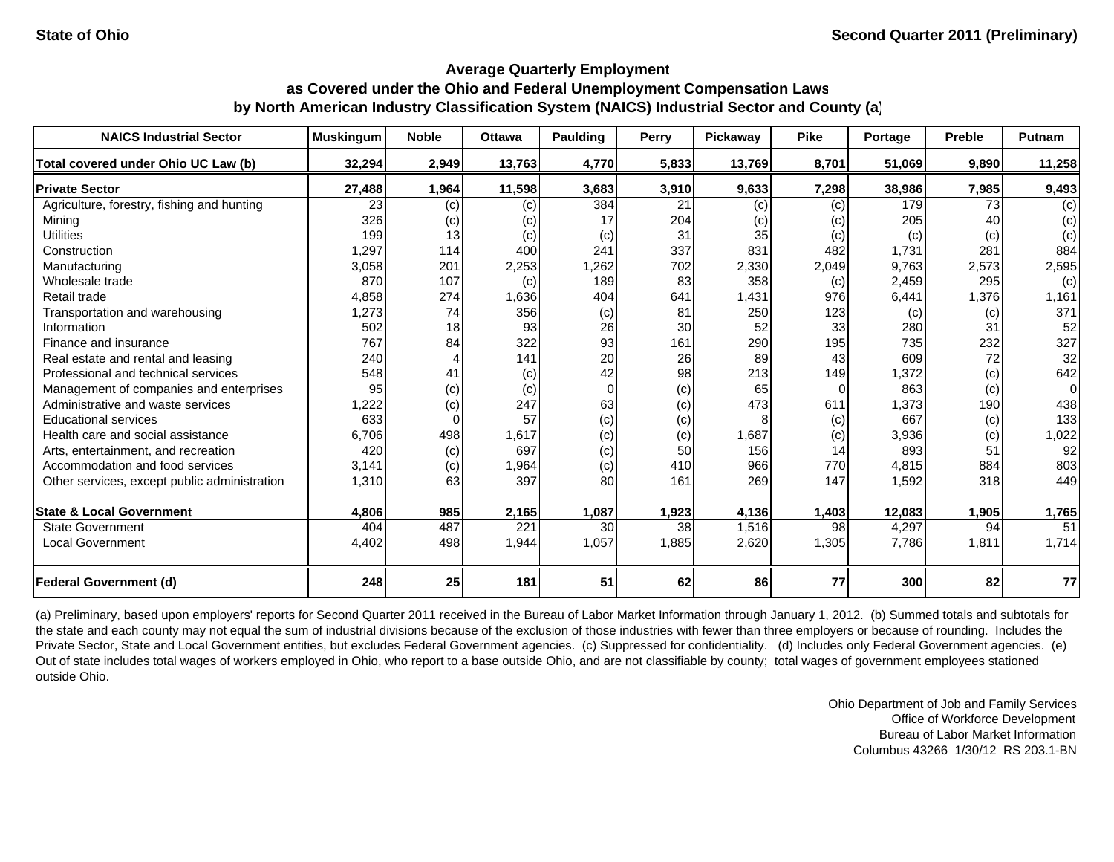| <b>NAICS Industrial Sector</b>               | <b>Muskingum</b> | <b>Noble</b> | <b>Ottawa</b> | <b>Paulding</b> | <b>Perry</b> | <b>Pickaway</b> | <b>Pike</b> | Portage | <b>Preble</b> | <b>Putnam</b> |
|----------------------------------------------|------------------|--------------|---------------|-----------------|--------------|-----------------|-------------|---------|---------------|---------------|
| Total covered under Ohio UC Law (b)          | 32,294           | 2,949        | 13,763        | 4,770           | 5,833        | 13,769          | 8,701       | 51,069  | 9,890         | 11,258        |
| <b>Private Sector</b>                        | 27,488           | 1,964        | 11,598        | 3,683           | 3,910        | 9,633           | 7,298       | 38,986  | 7,985         | 9,493         |
| Agriculture, forestry, fishing and hunting   | 23               | (c)          | (c)           | 384             | 21           | (c)             | (c)         | 179     | 73            | (c)           |
| Mining                                       | 326              | (c)          | (c)           | 17              | 204          | (c)             | (c)         | 205     | 40            | (c)           |
| <b>Utilities</b>                             | 199              | 13           | (c)           | (c)             | 31           | 35              | (c)         | (c)     | (c)           | (c)           |
| Construction                                 | 1,297            | 114          | 400           | 241             | 337          | 831             | 482         | 1,731   | 281           | 884           |
| Manufacturing                                | 3,058            | 201          | 2,253         | 1,262           | 702          | 2,330           | 2,049       | 9,763   | 2,573         | 2,595         |
| Wholesale trade                              | 870              | 107          | (c)           | 189             | 83           | 358             | (c)         | 2,459   | 295           | (c)           |
| Retail trade                                 | 4,858            | 274          | 1,636         | 404             | 641          | 1,431           | 976         | 6,441   | 1,376         | 1,161         |
| Transportation and warehousing               | 1,273            | 74           | 356           | (c)             | 81           | 250             | 123         | (c)     | (c)           | 371           |
| Information                                  | 502              | 18           | 93            | 26              | 30           | 52              | 33          | 280     | 31            | 52            |
| Finance and insurance                        | 767              | 84           | 322           | 93              | 161          | 290             | 195         | 735     | 232           | 327           |
| Real estate and rental and leasing           | 240              |              | 141           | 20              | 26           | 89              | 43          | 609     | 72            | 32            |
| Professional and technical services          | 548              | 41           | (c)           | 42              | 98           | 213             | 149         | 1,372   | (c)           | 642           |
| Management of companies and enterprises      | 95               | (c)          | (c)           | $\Omega$        | (c)          | 65              |             | 863     | (c)           | 0             |
| Administrative and waste services            | ,222             | (c)          | 247           | 63              | (c)          | 473             | 611         | 1,373   | 190           | 438           |
| <b>Educational services</b>                  | 633              | $\Omega$     | 57            | (c)             | (c)          |                 | (c)         | 667     | (c)           | 133           |
| Health care and social assistance            | 6,706            | 498          | 1,617         | (c)             | (c)          | 1,687           | (c)         | 3,936   | (c)           | 1,022         |
| Arts, entertainment, and recreation          | 420              | (c)          | 697           | (c)             | 50           | 156             | 14          | 893     | 51            | 92            |
| Accommodation and food services              | 3,141            | (c)          | 1,964         | (c)             | 410          | 966             | 770         | 4,815   | 884           | 803           |
| Other services, except public administration | 1,310            | 63           | 397           | 80              | 161          | 269             | 147         | 1,592   | 318           | 449           |
| <b>State &amp; Local Government</b>          | 4,806            | 985          | 2,165         | 1,087           | 1,923        | 4,136           | 1,403       | 12,083  | 1,905         | 1,765         |
| <b>State Government</b>                      | 404              | 487          | 221           | 30              | 38           | 1,516           | 98          | 4,297   | 94            | 51            |
| <b>Local Government</b>                      | 4,402            | 498          | 1,944         | 1,057           | 1,885        | 2,620           | 1,305       | 7,786   | 1,811         | 1,714         |
| <b>Federal Government (d)</b>                | 248              | 25           | 181           | 51              | 62           | 86              | 77          | 300     | 82            | 77            |

(a) Preliminary, based upon employers' reports for Second Quarter 2011 received in the Bureau of Labor Market Information through January 1, 2012. (b) Summed totals and subtotals for the state and each county may not equal the sum of industrial divisions because of the exclusion of those industries with fewer than three employers or because of rounding. Includes the Private Sector, State and Local Government entities, but excludes Federal Government agencies. (c) Suppressed for confidentiality. (d) Includes only Federal Government agencies. (e) Out of state includes total wages of workers employed in Ohio, who report to a base outside Ohio, and are not classifiable by county; total wages of government employees stationed outside Ohio.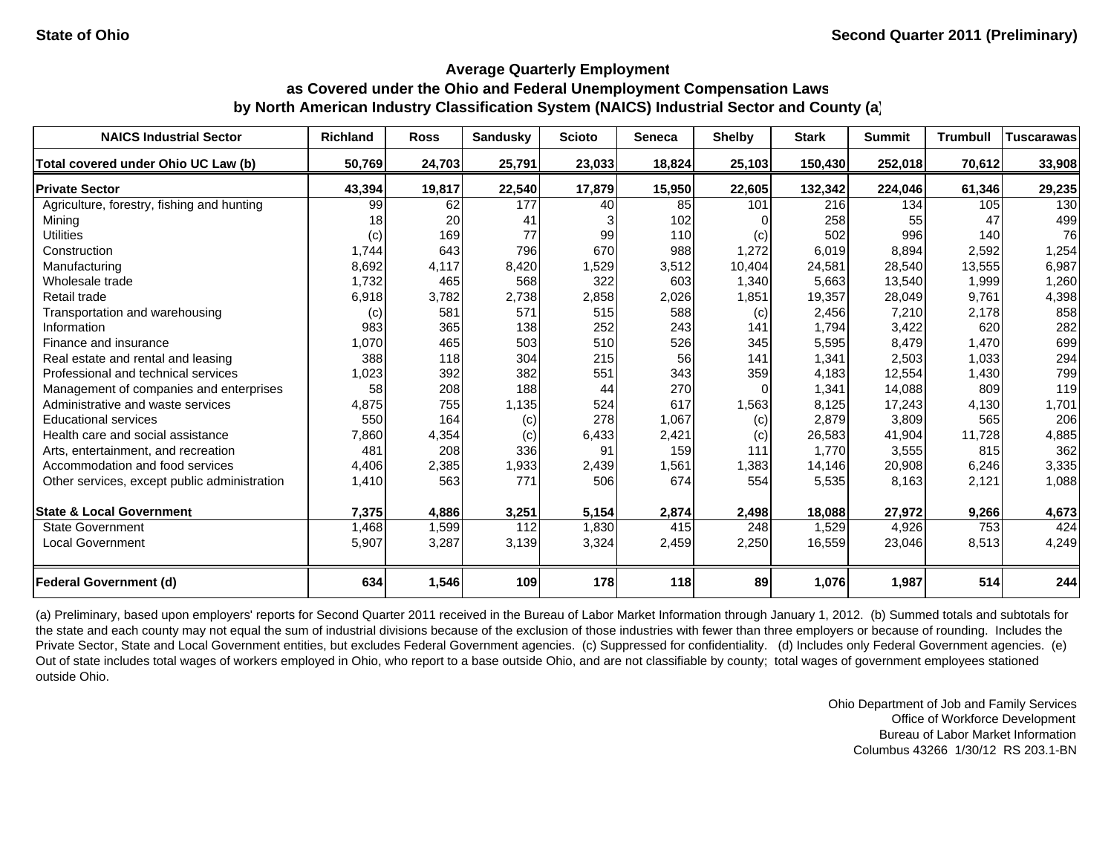| <b>NAICS Industrial Sector</b>               | <b>Richland</b> | <b>Ross</b> | <b>Sandusky</b> | <b>Scioto</b> | <b>Seneca</b> | <b>Shelby</b> | <b>Stark</b> | <b>Summit</b> | <b>Trumbull</b> | <b>Tuscarawas</b> |
|----------------------------------------------|-----------------|-------------|-----------------|---------------|---------------|---------------|--------------|---------------|-----------------|-------------------|
| Total covered under Ohio UC Law (b)          | 50,769          | 24,703      | 25,791          | 23,033        | 18,824        | 25,103        | 150,430      | 252,018       | 70.612          | 33,908            |
| <b>Private Sector</b>                        | 43,394          | 19,817      | 22,540          | 17,879        | 15,950        | 22,605        | 132,342      | 224,046       | 61,346          | 29,235            |
| Agriculture, forestry, fishing and hunting   | 99              | 62          | 177             | 40            | 85            | 101           | 216          | 134           | 105             | 130               |
| Mining                                       | 18              | 20          | 41              |               | 102           |               | 258          | 55            | 47              | 499               |
| <b>Utilities</b>                             | (c)             | 169         | 77              | 99            | 110           | (c)           | 502          | 996           | 140             | 76                |
| Construction                                 | 1,744           | 643         | 796             | 670           | 988           | 1.272         | 6,019        | 8,894         | 2.592           | 1,254             |
| Manufacturing                                | 8,692           | 4,117       | 8,420           | 1,529         | 3,512         | 10,404        | 24,581       | 28,540        | 13,555          | 6,987             |
| Wholesale trade                              | 1,732           | 465         | 568             | 322           | 603           | 1,340         | 5,663        | 13,540        | 1,999           | 1,260             |
| Retail trade                                 | 6,918           | 3,782       | 2,738           | 2,858         | 2,026         | 1,851         | 19,357       | 28,049        | 9.761           | 4,398             |
| Transportation and warehousing               | (c)             | 581         | 571             | 515           | 588           | (c)           | 2,456        | 7,210         | 2,178           | 858               |
| Information                                  | 983             | 365         | 138             | 252           | 243           | 141           | 1,794        | 3,422         | 620             | 282               |
| Finance and insurance                        | 1,070           | 465         | 503             | 510           | 526           | 345           | 5,595        | 8,479         | 1,470           | 699               |
| Real estate and rental and leasing           | 388             | 118         | 304             | 215           | 56            | 141           | 1,341        | 2,503         | 1,033           | 294               |
| Professional and technical services          | 1,023           | 392         | 382             | 551           | 343           | 359           | 4,183        | 12,554        | 1,430           | 799               |
| Management of companies and enterprises      | 58              | 208         | 188             | 44            | 270           | $\Omega$      | 1,341        | 14,088        | 809             | 119               |
| Administrative and waste services            | 4,875           | 755         | 1,135           | 524           | 617           | 1,563         | 8,125        | 17,243        | 4,130           | 1,701             |
| <b>Educational services</b>                  | 550             | 164         | (c)             | 278           | 1,067         | (c)           | 2,879        | 3,809         | 565             | 206               |
| Health care and social assistance            | 7,860           | 4,354       | (c)             | 6,433         | 2,421         | (c)           | 26,583       | 41,904        | 11,728          | 4,885             |
| Arts, entertainment, and recreation          | 481             | 208         | 336             | 91            | 159           | 111           | 1.770        | 3,555         | 815             | 362               |
| Accommodation and food services              | 4,406           | 2,385       | 1,933           | 2,439         | 1,561         | 1,383         | 14,146       | 20,908        | 6,246           | 3,335             |
| Other services, except public administration | 1,410           | 563         | 771             | 506           | 674           | 554           | 5,535        | 8,163         | 2,121           | 1,088             |
| <b>State &amp; Local Government</b>          | 7,375           | 4,886       | 3,251           | 5,154         | 2,874         | 2,498         | 18,088       | 27,972        | 9,266           | 4,673             |
| <b>State Government</b>                      | 1,468           | 1,599       | 112             | 1,830         | 415           | 248           | 1,529        | 4,926         | 753             | 424               |
| <b>Local Government</b>                      | 5,907           | 3,287       | 3,139           | 3,324         | 2,459         | 2,250         | 16,559       | 23,046        | 8,513           | 4,249             |
| <b>Federal Government (d)</b>                | 634             | 1,546       | 109             | 178           | 118           | 89            | 1,076        | 1,987         | 514             | 244               |

(a) Preliminary, based upon employers' reports for Second Quarter 2011 received in the Bureau of Labor Market Information through January 1, 2012. (b) Summed totals and subtotals for the state and each county may not equal the sum of industrial divisions because of the exclusion of those industries with fewer than three employers or because of rounding. Includes the Private Sector, State and Local Government entities, but excludes Federal Government agencies. (c) Suppressed for confidentiality. (d) Includes only Federal Government agencies. (e) Out of state includes total wages of workers employed in Ohio, who report to a base outside Ohio, and are not classifiable by county; total wages of government employees stationed outside Ohio.